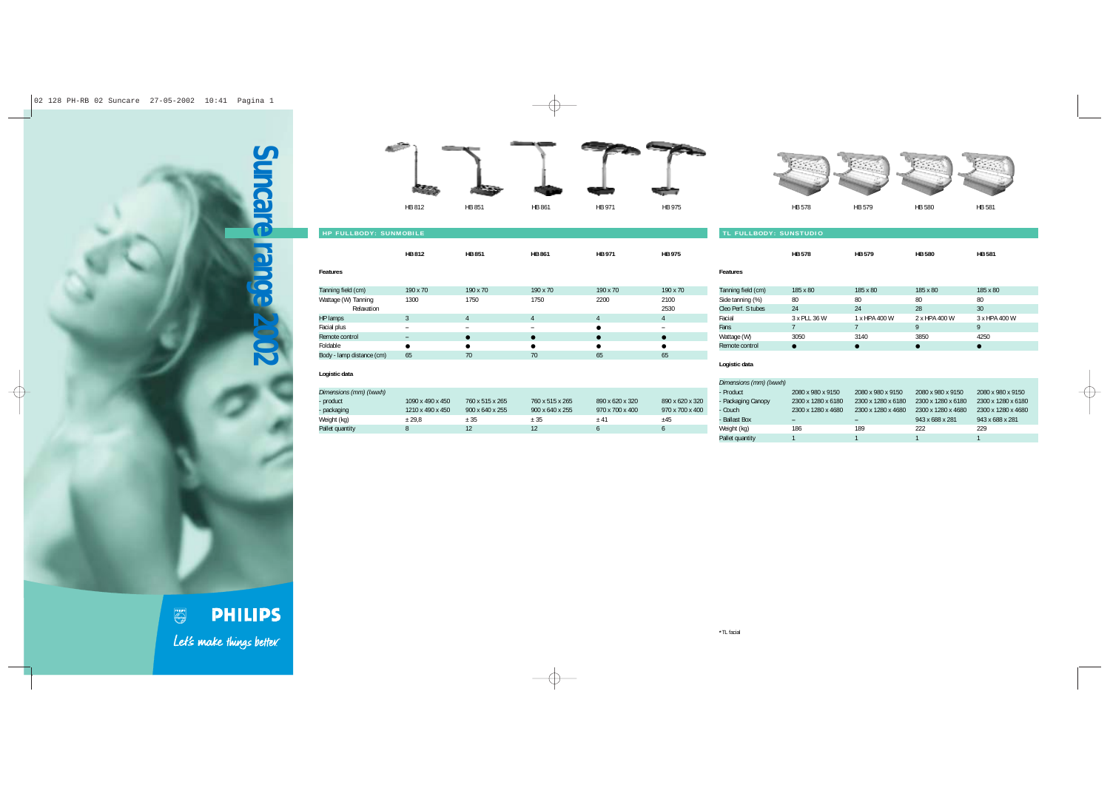





**HB 578 HB 579 HB 580 HB 581**

| <b>HP FULLBODY: SUNMOBILE</b> | TL FULLBODY: SUNSTUDIO       |               |               |                |               |                    |               |
|-------------------------------|------------------------------|---------------|---------------|----------------|---------------|--------------------|---------------|
|                               | HB 812                       | <b>HB 851</b> | <b>HB 861</b> | <b>HB 971</b>  | <b>HB 975</b> |                    | <b>HB 578</b> |
| Features                      |                              |               |               |                |               | <b>Features</b>    |               |
| Tanning field (cm)            | 190 x 70                     | 190 x 70      | 190 x 70      | 190 x 70       | 190 x 70      | Tanning field (cm) | 185 x 80      |
| Wattage (W) Tanning           | 1300                         | 1750          | 1750          | 2200           | 2100          | Side tanning (%)   | 80            |
| Relaxation                    |                              |               |               |                | 2530          | Cleo Perf. S tubes | 24            |
| HP lamps                      | 3                            | 4             | 4             | $\overline{4}$ | 4             | Facial             | 3 x PLL 36 V  |
| Facial plus                   | $\overline{\phantom{0}}$     | -             | -             | $\bullet$      |               | Fans               |               |
| Remote control                | $\qquad \qquad \blacksquare$ | $\bullet$     |               | $\bullet$      |               | Wattage (W)        | 3050          |
| Foldable                      | $\bullet$                    |               |               | $\bullet$      | ●             | Remote control     | $\bullet$     |
| Body - lamp distance (cm)     | 65                           | 70            | 70            | 65             | 65            |                    |               |

| realuies           |              |               |               |               |
|--------------------|--------------|---------------|---------------|---------------|
| Tanning field (cm) | 185 x 80     | 185 x 80      | 185 x 80      | 185 x 80      |
| Side tanning (%)   | 80           | 80            | 80            | 80            |
| Cleo Perf. S tubes | 24           | 24            | 28            | 30            |
| Facial             | 3 x PLL 36 W | 1 x HPA 400 W | 2 x HPA 400 W | 3 x HPA 400 W |
| Fans               |              |               | 9             | 9             |
| Wattage (W)        | 3050         | 3140          | 3850          | 4250          |
| Remote control     |              |               |               |               |
|                    |              |               |               |               |

## **Logistic data**

| Dimensions (mm) (Ixwxh) |                  |                             |                             |                             |                 |
|-------------------------|------------------|-----------------------------|-----------------------------|-----------------------------|-----------------|
| - product               | 1090 x 490 x 450 | 760 x 515 x 265             | 760 x 515 x 265             | 890 x 620 x 320             | 890 x 620 x 320 |
| - packaging             | 1210 x 490 x 450 | $900 \times 640 \times 255$ | $900 \times 640 \times 255$ | $970 \times 700 \times 400$ | 970 x 700 x 400 |
| Weight (kg)             | ± 29.8           | ± 35                        | $+35$                       | $+41$                       | $+45$           |
| Pallet quantity         |                  | $12 \overline{ }$           |                             |                             |                 |

## **Logistic data**

| Dimensions (mm) (Ixwxh) |                    |                          |                    |                    |
|-------------------------|--------------------|--------------------------|--------------------|--------------------|
| - Product               | 2080 x 980 x 9150  | 2080 x 980 x 9150        | 2080 x 980 x 9150  | 2080 x 980 x 9150  |
| - Packaging Canopy      | 2300 x 1280 x 6180 | 2300 x 1280 x 6180       | 2300 x 1280 x 6180 | 2300 x 1280 x 6180 |
| - Couch                 | 2300 x 1280 x 4680 | 2300 x 1280 x 4680       | 2300 x 1280 x 4680 | 2300 x 1280 x 4680 |
| - Ballast Box           |                    | $\overline{\phantom{0}}$ | 943 x 688 x 281    | 943 x 688 x 281    |
| Weight (kg)             | 186                | 189                      | 222                | 229                |
| Pallet quantity         |                    |                          |                    |                    |

**PHILIPS** Let's make things better.

## **\***TL facial